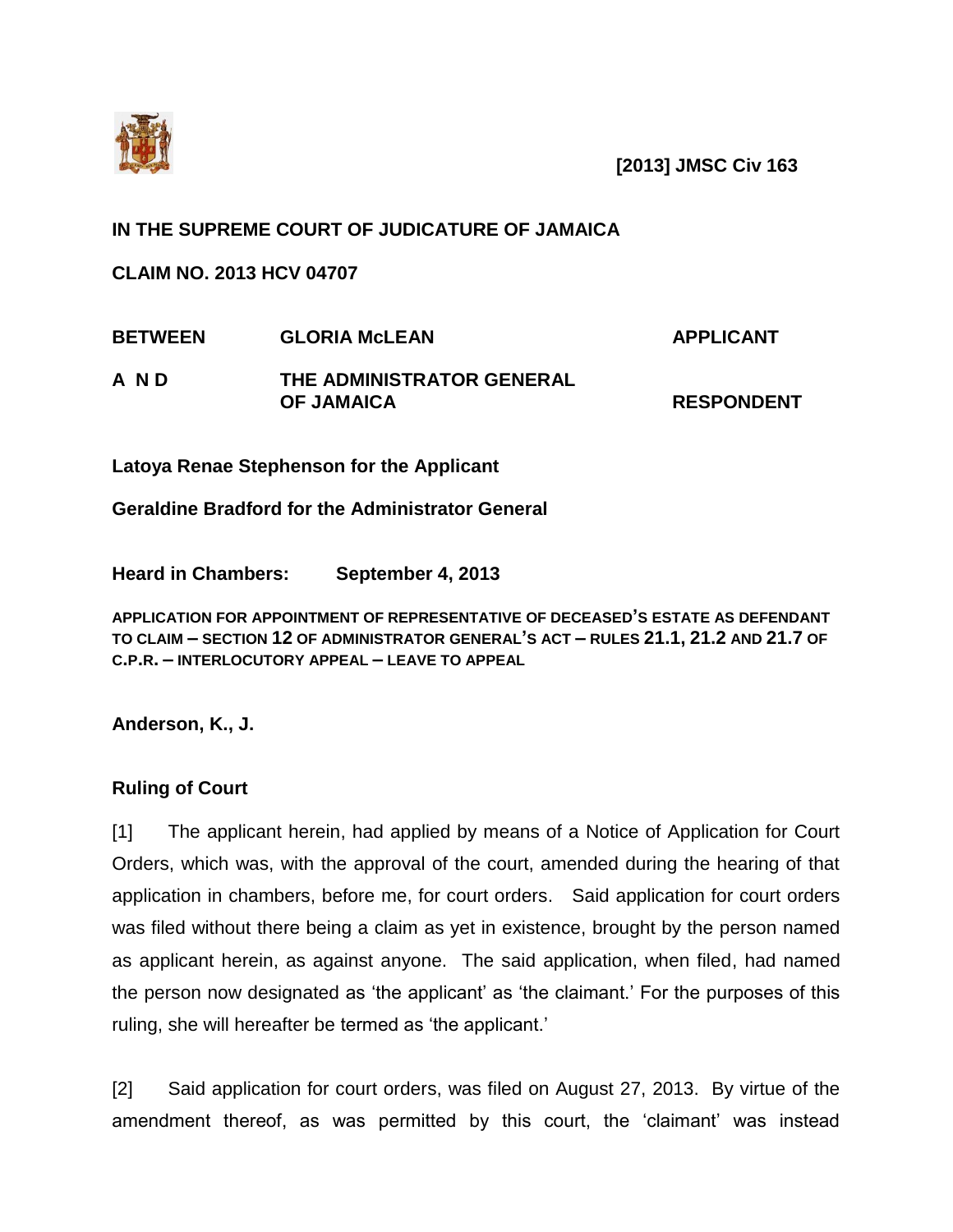

**[2013] JMSC Civ 163**

## **IN THE SUPREME COURT OF JUDICATURE OF JAMAICA**

**CLAIM NO. 2013 HCV 04707**

| <b>BETWEEN</b> | <b>GLORIA McLEAN</b>      | <b>APPLICANT</b>  |
|----------------|---------------------------|-------------------|
| A N D          | THE ADMINISTRATOR GENERAL |                   |
|                | <b>OF JAMAICA</b>         | <b>RESPONDENT</b> |

**Latoya Renae Stephenson for the Applicant**

**Geraldine Bradford for the Administrator General**

**Heard in Chambers: September 4, 2013**

**APPLICATION FOR APPOINTMENT OF REPRESENTATIVE OF DECEASED'S ESTATE AS DEFENDANT TO CLAIM – SECTION 12 OF ADMINISTRATOR GENERAL'S ACT – RULES 21.1, 21.2 AND 21.7 OF C.P.R. – INTERLOCUTORY APPEAL – LEAVE TO APPEAL**

**Anderson, K., J.**

## **Ruling of Court**

[1] The applicant herein, had applied by means of a Notice of Application for Court Orders, which was, with the approval of the court, amended during the hearing of that application in chambers, before me, for court orders. Said application for court orders was filed without there being a claim as yet in existence, brought by the person named as applicant herein, as against anyone. The said application, when filed, had named the person now designated as 'the applicant' as 'the claimant.' For the purposes of this ruling, she will hereafter be termed as 'the applicant.'

[2] Said application for court orders, was filed on August 27, 2013. By virtue of the amendment thereof, as was permitted by this court, the 'claimant' was instead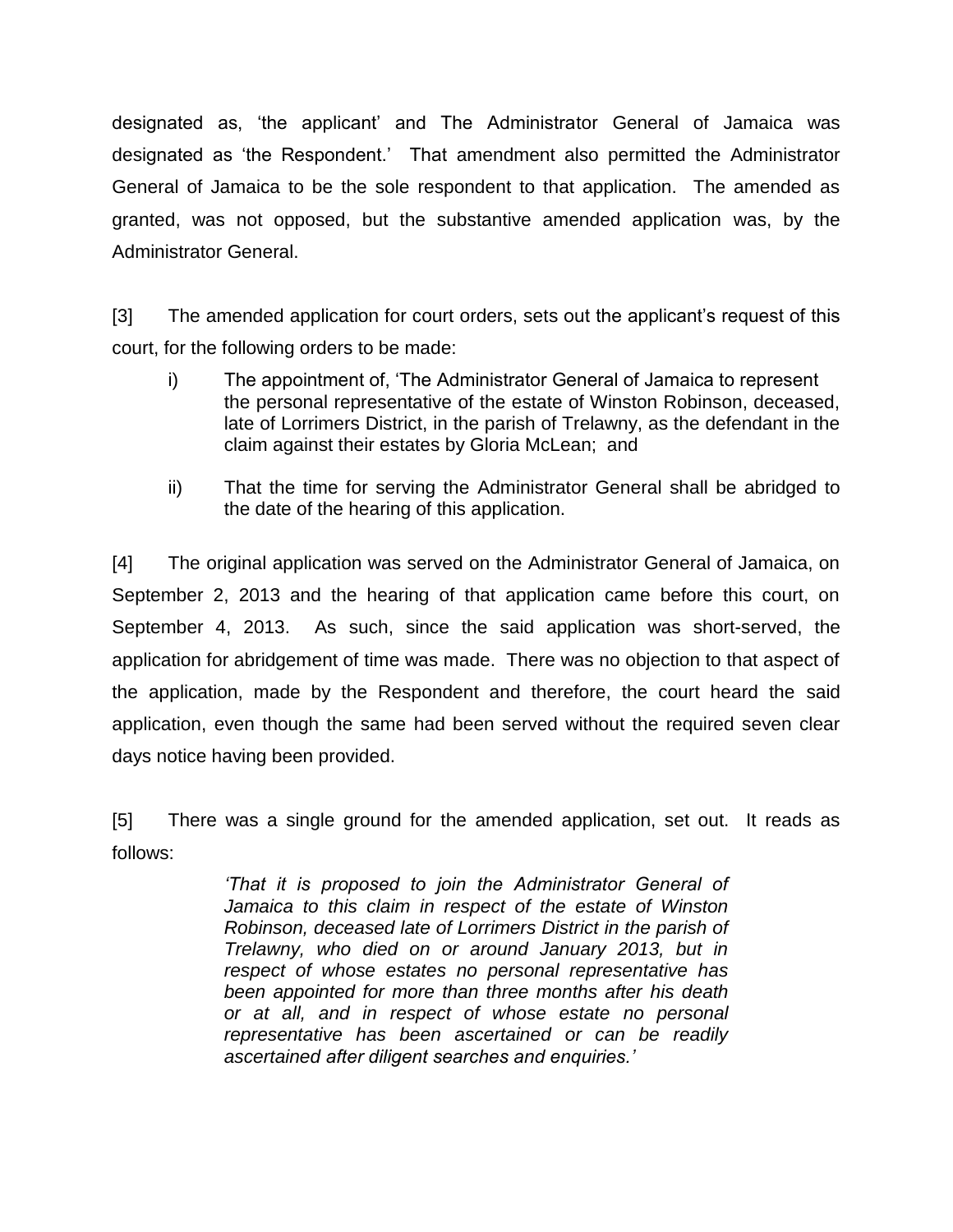designated as, 'the applicant' and The Administrator General of Jamaica was designated as 'the Respondent.' That amendment also permitted the Administrator General of Jamaica to be the sole respondent to that application. The amended as granted, was not opposed, but the substantive amended application was, by the Administrator General.

[3] The amended application for court orders, sets out the applicant's request of this court, for the following orders to be made:

- i) The appointment of, 'The Administrator General of Jamaica to represent the personal representative of the estate of Winston Robinson, deceased, late of Lorrimers District, in the parish of Trelawny, as the defendant in the claim against their estates by Gloria McLean; and
- ii) That the time for serving the Administrator General shall be abridged to the date of the hearing of this application.

[4] The original application was served on the Administrator General of Jamaica, on September 2, 2013 and the hearing of that application came before this court, on September 4, 2013. As such, since the said application was short-served, the application for abridgement of time was made. There was no objection to that aspect of the application, made by the Respondent and therefore, the court heard the said application, even though the same had been served without the required seven clear days notice having been provided.

[5] There was a single ground for the amended application, set out. It reads as follows:

> *'That it is proposed to join the Administrator General of Jamaica to this claim in respect of the estate of Winston Robinson, deceased late of Lorrimers District in the parish of Trelawny, who died on or around January 2013, but in respect of whose estates no personal representative has been appointed for more than three months after his death or at all, and in respect of whose estate no personal representative has been ascertained or can be readily ascertained after diligent searches and enquiries.'*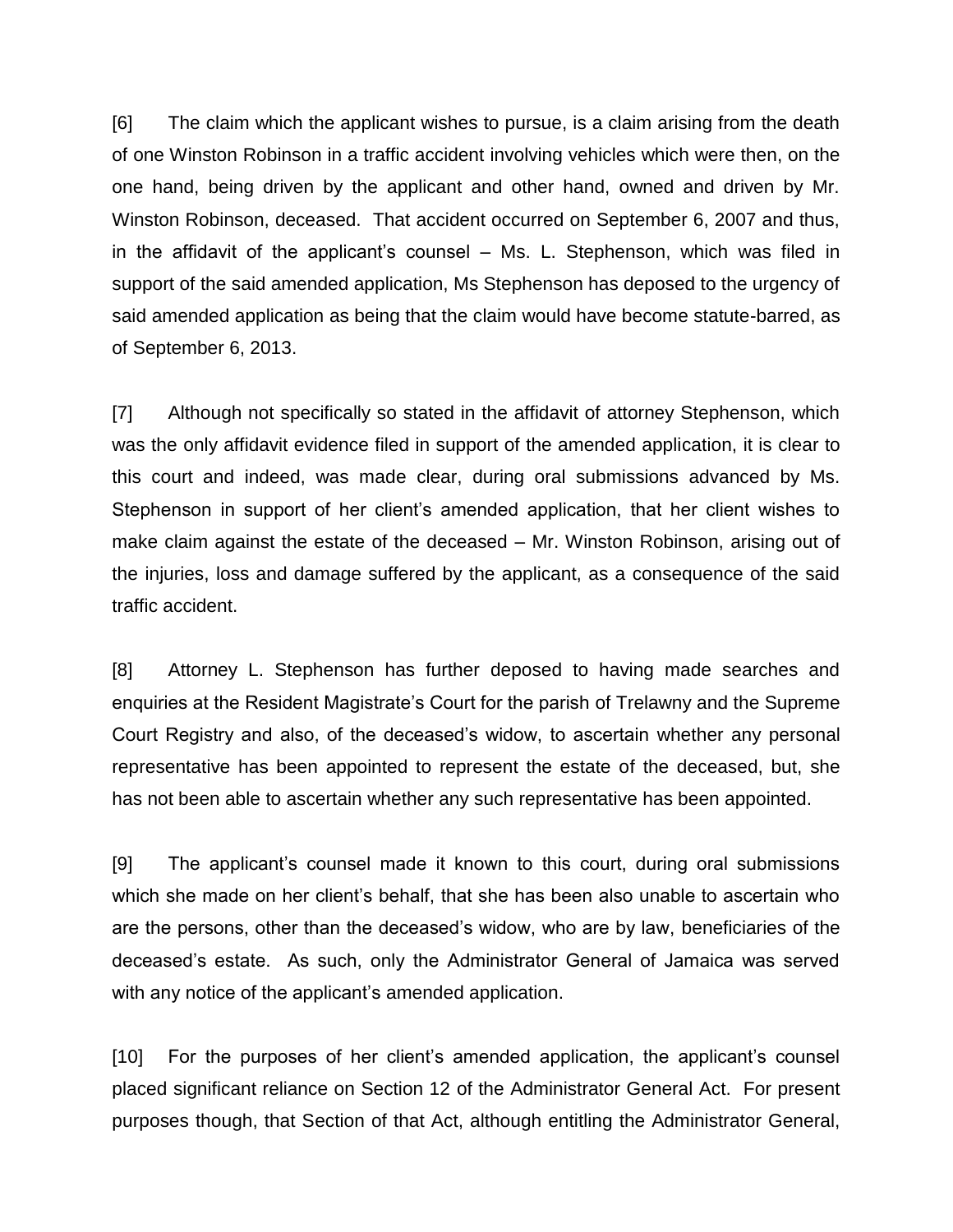[6] The claim which the applicant wishes to pursue, is a claim arising from the death of one Winston Robinson in a traffic accident involving vehicles which were then, on the one hand, being driven by the applicant and other hand, owned and driven by Mr. Winston Robinson, deceased. That accident occurred on September 6, 2007 and thus, in the affidavit of the applicant's counsel – Ms. L. Stephenson, which was filed in support of the said amended application, Ms Stephenson has deposed to the urgency of said amended application as being that the claim would have become statute-barred, as of September 6, 2013.

[7] Although not specifically so stated in the affidavit of attorney Stephenson, which was the only affidavit evidence filed in support of the amended application, it is clear to this court and indeed, was made clear, during oral submissions advanced by Ms. Stephenson in support of her client's amended application, that her client wishes to make claim against the estate of the deceased – Mr. Winston Robinson, arising out of the injuries, loss and damage suffered by the applicant, as a consequence of the said traffic accident.

[8] Attorney L. Stephenson has further deposed to having made searches and enquiries at the Resident Magistrate's Court for the parish of Trelawny and the Supreme Court Registry and also, of the deceased's widow, to ascertain whether any personal representative has been appointed to represent the estate of the deceased, but, she has not been able to ascertain whether any such representative has been appointed.

[9] The applicant's counsel made it known to this court, during oral submissions which she made on her client's behalf, that she has been also unable to ascertain who are the persons, other than the deceased's widow, who are by law, beneficiaries of the deceased's estate. As such, only the Administrator General of Jamaica was served with any notice of the applicant's amended application.

[10] For the purposes of her client's amended application, the applicant's counsel placed significant reliance on Section 12 of the Administrator General Act. For present purposes though, that Section of that Act, although entitling the Administrator General,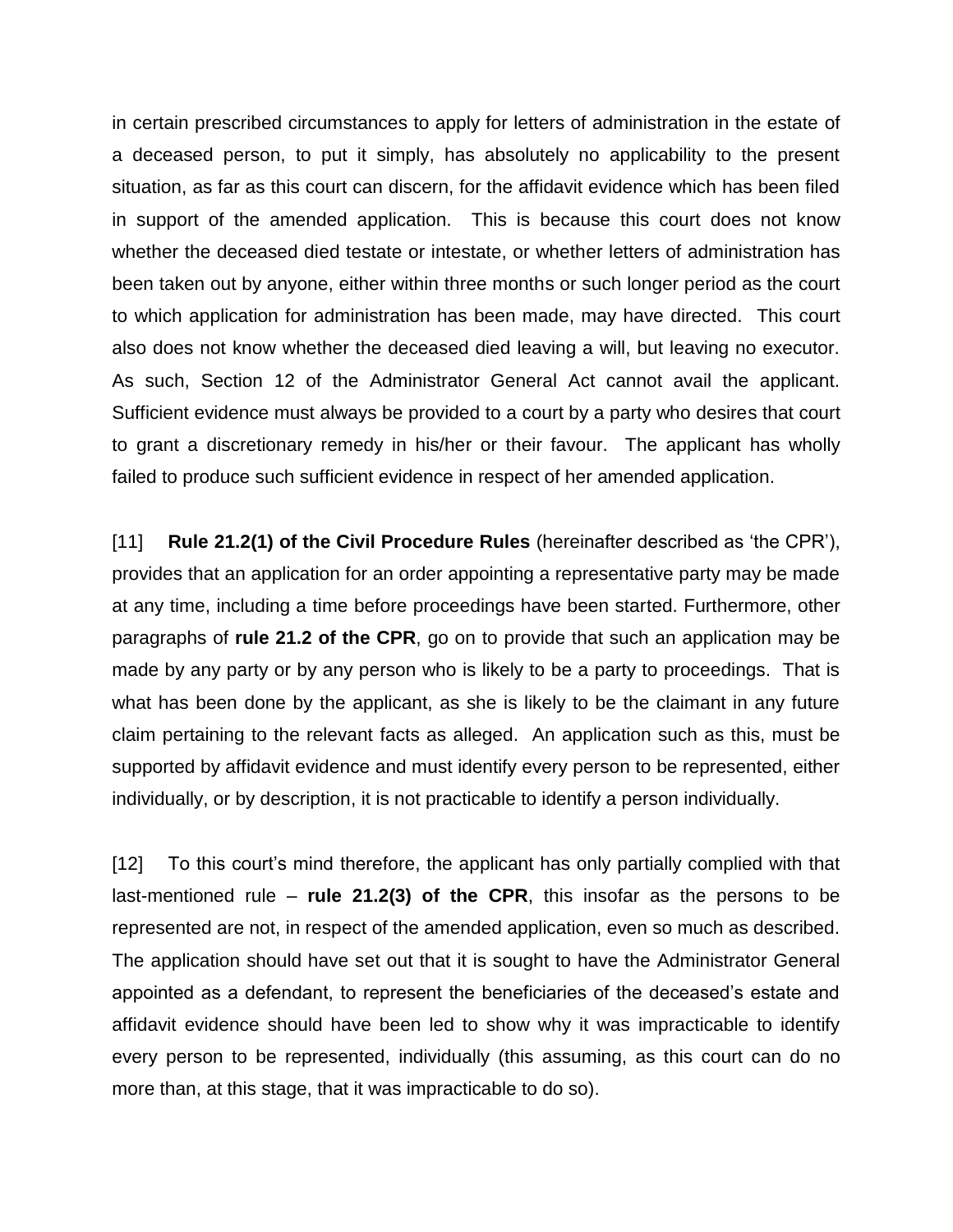in certain prescribed circumstances to apply for letters of administration in the estate of a deceased person, to put it simply, has absolutely no applicability to the present situation, as far as this court can discern, for the affidavit evidence which has been filed in support of the amended application. This is because this court does not know whether the deceased died testate or intestate, or whether letters of administration has been taken out by anyone, either within three months or such longer period as the court to which application for administration has been made, may have directed. This court also does not know whether the deceased died leaving a will, but leaving no executor. As such, Section 12 of the Administrator General Act cannot avail the applicant. Sufficient evidence must always be provided to a court by a party who desires that court to grant a discretionary remedy in his/her or their favour. The applicant has wholly failed to produce such sufficient evidence in respect of her amended application.

[11] **Rule 21.2(1) of the Civil Procedure Rules** (hereinafter described as 'the CPR'), provides that an application for an order appointing a representative party may be made at any time, including a time before proceedings have been started. Furthermore, other paragraphs of **rule 21.2 of the CPR**, go on to provide that such an application may be made by any party or by any person who is likely to be a party to proceedings. That is what has been done by the applicant, as she is likely to be the claimant in any future claim pertaining to the relevant facts as alleged. An application such as this, must be supported by affidavit evidence and must identify every person to be represented, either individually, or by description, it is not practicable to identify a person individually.

[12] To this court's mind therefore, the applicant has only partially complied with that last-mentioned rule – **rule 21.2(3) of the CPR**, this insofar as the persons to be represented are not, in respect of the amended application, even so much as described. The application should have set out that it is sought to have the Administrator General appointed as a defendant, to represent the beneficiaries of the deceased's estate and affidavit evidence should have been led to show why it was impracticable to identify every person to be represented, individually (this assuming, as this court can do no more than, at this stage, that it was impracticable to do so).